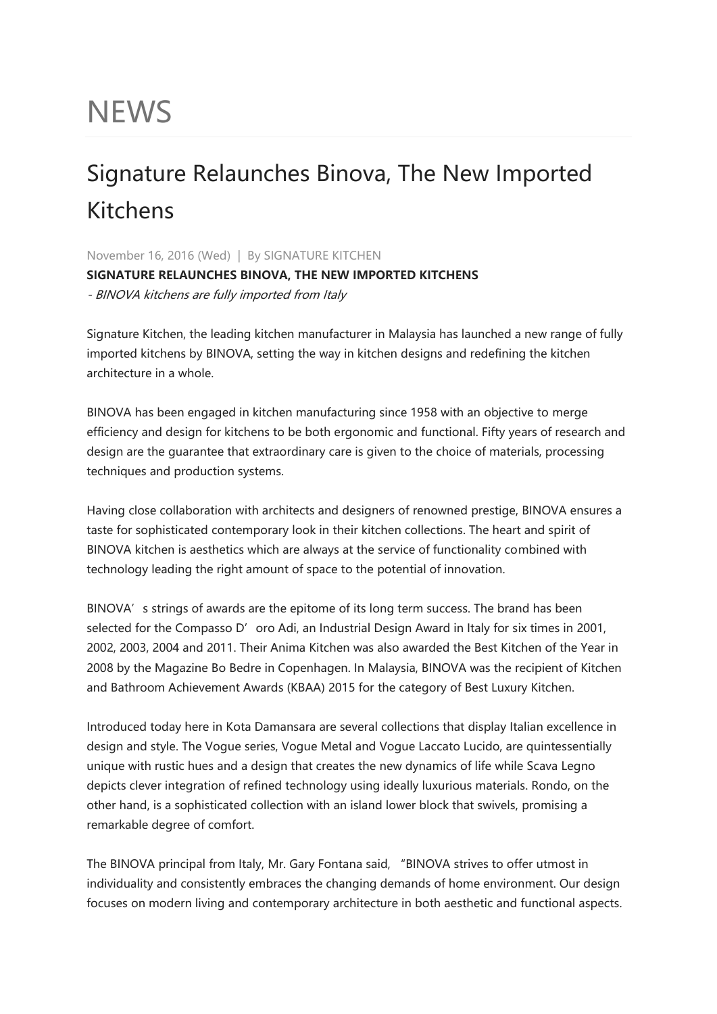## **NEWS**

## Signature Relaunches Binova, The New Imported Kitchens

November 16, 2016 (Wed) | By SIGNATURE KITCHEN **SIGNATURE RELAUNCHES BINOVA, THE NEW IMPORTED KITCHENS** - BINOVA kitchens are fully imported from Italy

Signature Kitchen, the leading kitchen manufacturer in Malaysia has launched a new range of fully imported kitchens by BINOVA, setting the way in kitchen designs and redefining the kitchen architecture in a whole.

BINOVA has been engaged in kitchen manufacturing since 1958 with an objective to merge efficiency and design for kitchens to be both ergonomic and functional. Fifty years of research and design are the guarantee that extraordinary care is given to the choice of materials, processing techniques and production systems.

Having close collaboration with architects and designers of renowned prestige, BINOVA ensures a taste for sophisticated contemporary look in their kitchen collections. The heart and spirit of BINOVA kitchen is aesthetics which are always at the service of functionality combined with technology leading the right amount of space to the potential of innovation.

BINOVA's strings of awards are the epitome of its long term success. The brand has been selected for the Compasso D'oro Adi, an Industrial Design Award in Italy for six times in 2001, 2002, 2003, 2004 and 2011. Their Anima Kitchen was also awarded the Best Kitchen of the Year in 2008 by the Magazine Bo Bedre in Copenhagen. In Malaysia, BINOVA was the recipient of Kitchen and Bathroom Achievement Awards (KBAA) 2015 for the category of Best Luxury Kitchen.

Introduced today here in Kota Damansara are several collections that display Italian excellence in design and style. The Vogue series, Vogue Metal and Vogue Laccato Lucido, are quintessentially unique with rustic hues and a design that creates the new dynamics of life while Scava Legno depicts clever integration of refined technology using ideally luxurious materials. Rondo, on the other hand, is a sophisticated collection with an island lower block that swivels, promising a remarkable degree of comfort.

The BINOVA principal from Italy, Mr. Gary Fontana said, "BINOVA strives to offer utmost in individuality and consistently embraces the changing demands of home environment. Our design focuses on modern living and contemporary architecture in both aesthetic and functional aspects.